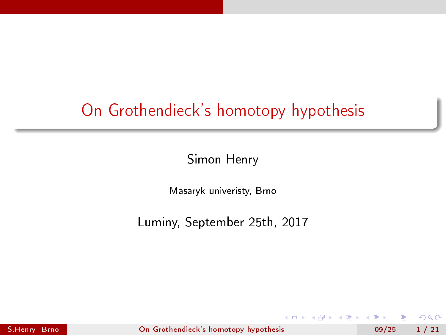# <span id="page-0-0"></span>On Grothendieck's homotopy hypothesis

Simon Henry

Masaryk univeristy, Brno

Luminy, September 25th, 2017

S.Henry Brno [On Grothendieck's homotopy hypothesis](#page-86-0) 09/25 1 / 21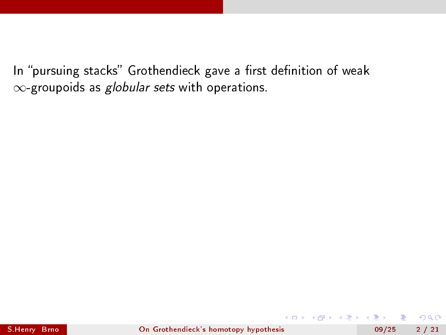$-17.5$ 

 $QQ$ 

э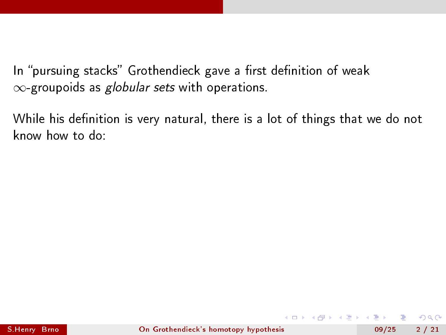While his definition is very natural, there is a lot of things that we do not know how to do: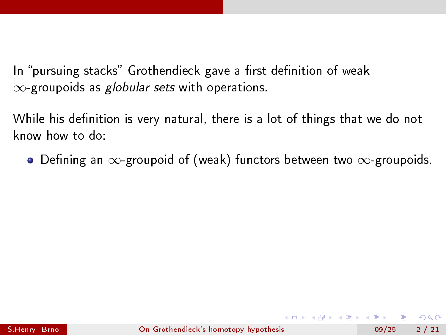While his definition is very natural, there is a lot of things that we do not know how to do:

 $\bullet$  Defining an  $\infty$ -groupoid of (weak) functors between two  $\infty$ -groupoids.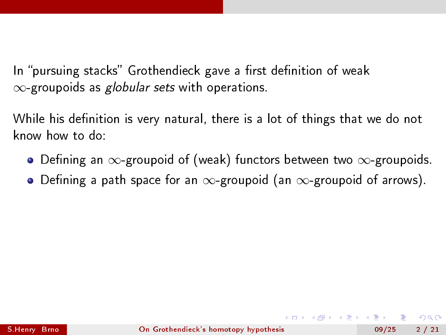While his definition is very natural, there is a lot of things that we do not know how to do:

- $\bullet$  Defining an  $\infty$ -groupoid of (weak) functors between two  $\infty$ -groupoids.
- $\bullet$  Defining a path space for an  $\infty$ -groupoid (an  $\infty$ -groupoid of arrows).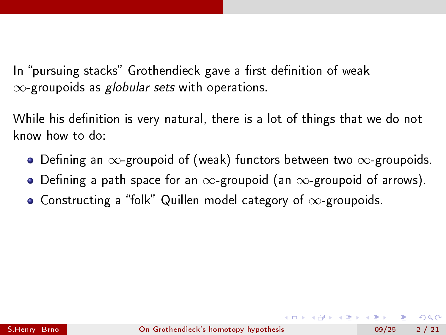While his definition is very natural, there is a lot of things that we do not know how to do:

- $\bullet$  Defining an  $\infty$ -groupoid of (weak) functors between two  $\infty$ -groupoids.
- $\bullet$  Defining a path space for an  $\infty$ -groupoid (an  $\infty$ -groupoid of arrows).
- $\bullet$  Constructing a "folk" Quillen model category of  $\infty$ -groupoids.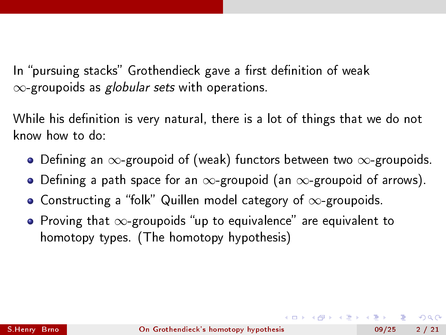While his definition is very natural, there is a lot of things that we do not know how to do:

- $\bullet$  Defining an  $\infty$ -groupoid of (weak) functors between two  $\infty$ -groupoids.
- $\bullet$  Defining a path space for an  $\infty$ -groupoid (an  $\infty$ -groupoid of arrows).
- $\bullet$  Constructing a "folk" Quillen model category of  $\infty$ -groupoids.
- Proving that  $\infty$ -groupoids "up to equivalence" are equivalent to homotopy types. (The homotopy hypothesis)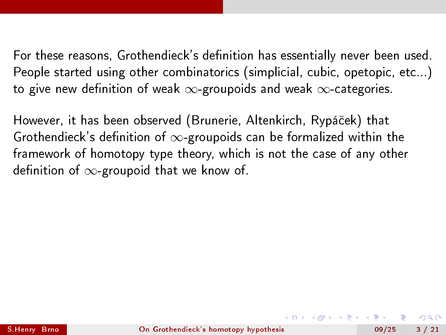However, it has been observed (Brunerie, Altenkirch, Rypáček) that Grothendieck's definition of  $\infty$ -groupoids can be formalized within the framework of homotopy type theory, which is not the case of any other definition of  $\infty$ -groupoid that we know of.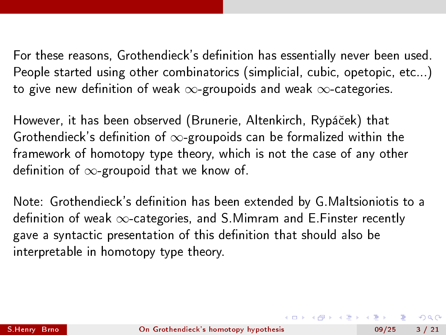However, it has been observed (Brunerie, Altenkirch, Rypáček) that Grothendieck's definition of  $\infty$ -groupoids can be formalized within the framework of homotopy type theory, which is not the case of any other definition of  $\infty$ -groupoid that we know of.

Note: Grothendieck's definition has been extended by G.Maltsioniotis to a definition of weak  $\infty$ -categories, and S. Mimram and E. Finster recently gave a syntactic presentation of this definition that should also be interpretable in homotopy type theory.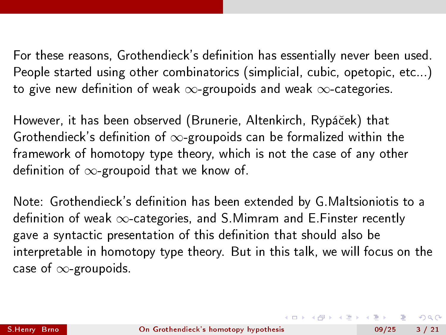However, it has been observed (Brunerie, Altenkirch, Rypáček) that Grothendieck's definition of  $\infty$ -groupoids can be formalized within the framework of homotopy type theory, which is not the case of any other definition of  $\infty$ -groupoid that we know of.

Note: Grothendieck's definition has been extended by G.Maltsioniotis to a definition of weak  $\infty$ -categories, and S. Mimram and E. Finster recently gave a syntactic presentation of this definition that should also be interpretable in homotopy type theory. But in this talk, we will focus on the case of ∞-groupoids.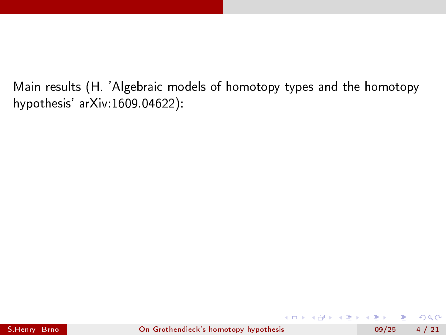Main results (H. 'Algebraic models of homotopy types and the homotopy hypothesis' arXiv:1609.04622):

4 **D** F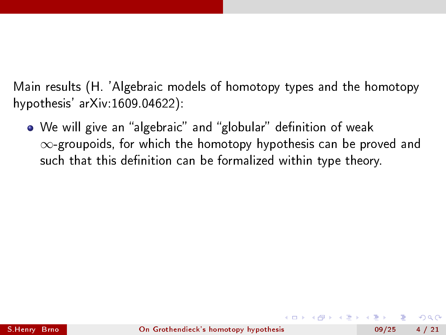Main results (H. 'Algebraic models of homotopy types and the homotopy hypothesis' arXiv:1609.04622):

• We will give an "algebraic" and "globular" definition of weak ∞-groupoids, for which the homotopy hypothesis can be proved and such that this definition can be formalized within type theory.

つへへ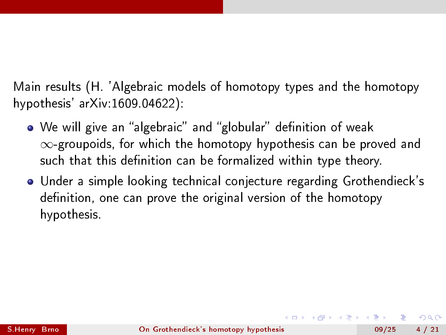Main results (H. 'Algebraic models of homotopy types and the homotopy hypothesis' arXiv:1609.04622):

- We will give an "algebraic" and "globular" definition of weak ∞-groupoids, for which the homotopy hypothesis can be proved and such that this definition can be formalized within type theory.
- Under a simple looking technical conjecture regarding Grothendieck's definition, one can prove the original version of the homotopy hypothesis.

つへへ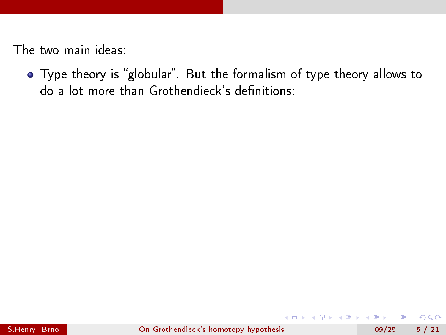• Type theory is "globular". But the formalism of type theory allows to do a lot more than Grothendieck's definitions:

4 D F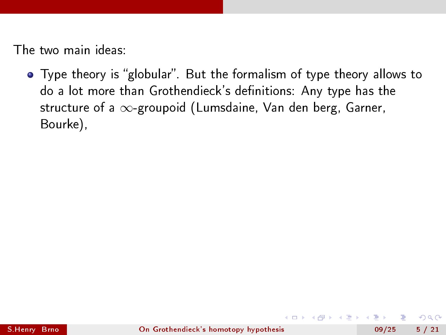• Type theory is "globular". But the formalism of type theory allows to do a lot more than Grothendieck's definitions: Any type has the structure of a  $\infty$ -groupoid (Lumsdaine, Van den berg, Garner, Bourke),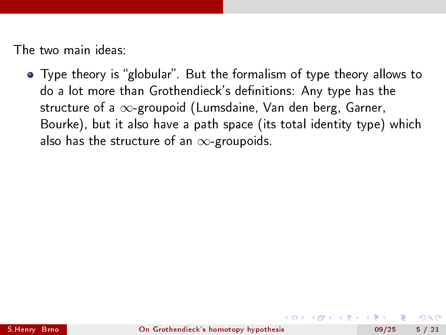• Type theory is "globular". But the formalism of type theory allows to do a lot more than Grothendieck's definitions: Any type has the structure of a  $\infty$ -groupoid (Lumsdaine, Van den berg, Garner, Bourke), but it also have a path space (its total identity type) which also has the structure of an  $\infty$ -groupoids.

つへへ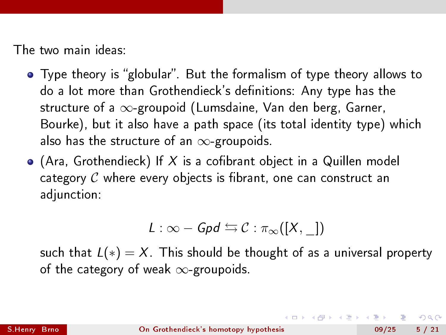- Type theory is "globular". But the formalism of type theory allows to do a lot more than Grothendieck's definitions: Any type has the structure of a  $\infty$ -groupoid (Lumsdaine, Van den berg, Garner, Bourke), but it also have a path space (its total identity type) which also has the structure of an  $\infty$ -groupoids.
- $\bullet$  (Ara, Grothendieck) If X is a cofibrant object in a Quillen model category  $C$  where every objects is fibrant, one can construct an adjunction:

$$
L:\infty-\mathit{Gpd}\leftrightarrows\mathcal{C}:\pi_{\infty}([X,\_])
$$

such that  $L(*) = X$ . This should be thought of as a universal property of the category of weak  $\infty$ -groupoids.

(ロトス何) スランスラン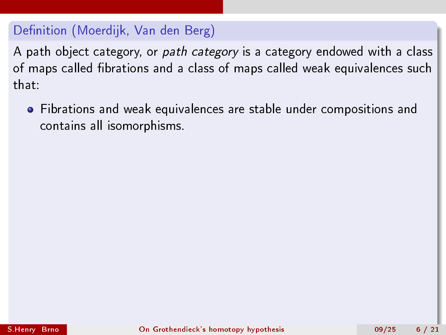A path object category, or path category is a category endowed with a class of maps called fibrations and a class of maps called weak equivalences such that:

Fibrations and weak equivalences are stable under compositions and contains all isomorphisms.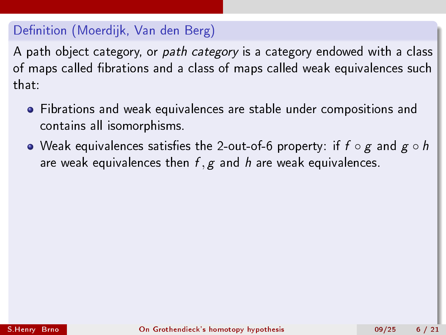- Fibrations and weak equivalences are stable under compositions and contains all isomorphisms.
- Weak equivalences satisfies the 2-out-of-6 property: if  $f \circ g$  and  $g \circ h$ are weak equivalences then  $f, g$  and h are weak equivalences.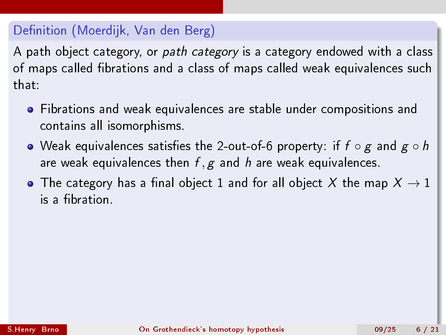- Fibrations and weak equivalences are stable under compositions and contains all isomorphisms.
- Weak equivalences satisfies the 2-out-of-6 property: if  $f \circ g$  and  $g \circ h$ are weak equivalences then  $f, g$  and h are weak equivalences.
- $\bullet$  The category has a final object 1 and for all object X the map  $X \to 1$ is a fibration.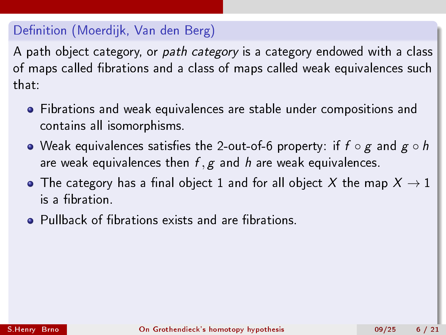- Fibrations and weak equivalences are stable under compositions and contains all isomorphisms.
- Weak equivalences satisfies the 2-out-of-6 property: if  $f \circ g$  and  $g \circ h$ are weak equivalences then  $f, g$  and h are weak equivalences.
- $\bullet$  The category has a final object 1 and for all object X the map  $X \to 1$ is a fibration.
- **•** Pullback of fibrations exists and are fibrations.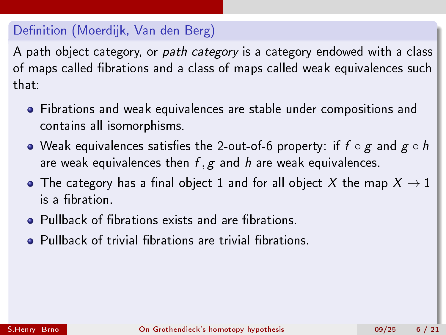- Fibrations and weak equivalences are stable under compositions and contains all isomorphisms.
- Weak equivalences satisfies the 2-out-of-6 property: if  $f \circ g$  and  $g \circ h$ are weak equivalences then  $f, g$  and h are weak equivalences.
- $\bullet$  The category has a final object 1 and for all object X the map  $X \to 1$ is a fibration.
- **•** Pullback of fibrations exists and are fibrations.
- **•** Pullback of trivial fibrations are trivial fibrations.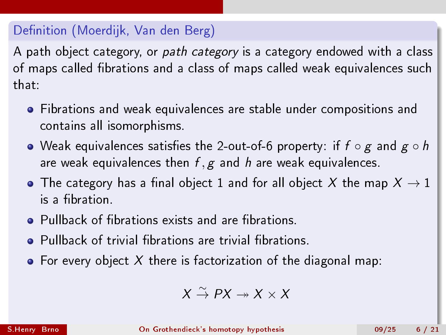A path object category, or path category is a category endowed with a class of maps called fibrations and a class of maps called weak equivalences such that:

- Fibrations and weak equivalences are stable under compositions and contains all isomorphisms.
- Weak equivalences satisfies the 2-out-of-6 property: if  $f \circ g$  and  $g \circ h$ are weak equivalences then  $f, g$  and h are weak equivalences.
- $\bullet$  The category has a final object 1 and for all object X the map  $X \to 1$ is a fibration.
- **•** Pullback of fibrations exists and are fibrations.
- **•** Pullback of trivial fibrations are trivial fibrations.
- For every object X there is factorization of the diagonal map:

$$
X \overset{\sim}{\to} PX \twoheadrightarrow X \times X
$$

S.Henry Brno [On Grothendieck's homotopy hypothesis](#page-0-0) 09/25 6 / 21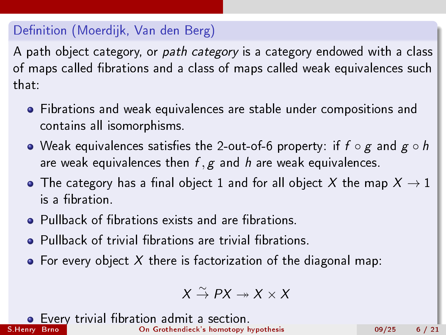A path object category, or path category is a category endowed with a class of maps called fibrations and a class of maps called weak equivalences such that:

- Fibrations and weak equivalences are stable under compositions and contains all isomorphisms.
- Weak equivalences satisfies the 2-out-of-6 property: if  $f \circ g$  and  $g \circ h$ are weak equivalences then  $f, g$  and h are weak equivalences.
- $\bullet$  The category has a final object 1 and for all object X the map  $X \to 1$ is a fibration.
- **•** Pullback of fibrations exists and are fibrations.
- **•** Pullback of trivial fibrations are trivial fibrations.
- For every object X there is factorization of the diagonal map:

$$
X \overset{\sim}{\to} PX \twoheadrightarrow X \times X
$$

Every trivial fibration admit a section.<br>S.Henry Brne [On Grothendieck's homotopy hypothesis](#page-0-0) 09/25 6 / 21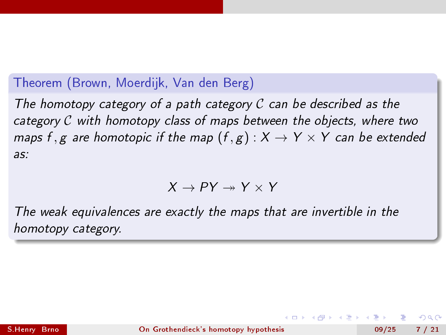#### Theorem (Brown, Moerdijk, Van den Berg)

The homotopy category of a path category  $\cal C$  can be described as the category  $C$  with homotopy class of maps between the objects, where two maps f, g are homotopic if the map  $(f, g) : X \to Y \times Y$  can be extended as:

$$
X \to PY \twoheadrightarrow Y \times Y
$$

The weak equivalences are exactly the maps that are invertible in the homotopy category.

 $200$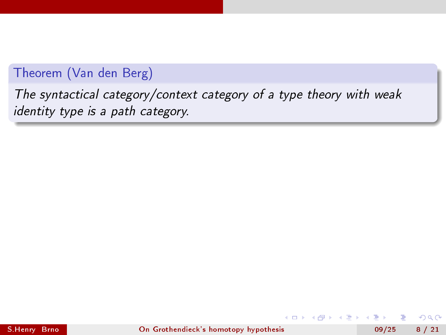# Theorem (Van den Berg)

The syntactical category/context category of a type theory with weak identity type is a path category.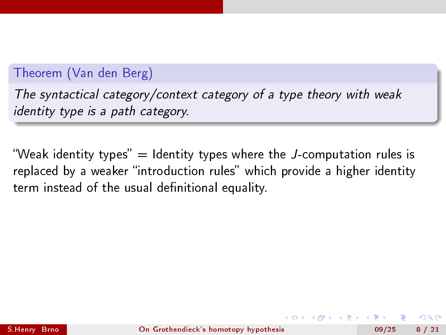#### Theorem (Van den Berg)

The syntactical category/context category of a type theory with weak identity type is a path category.

"Weak identity types"  $=$  Identity types where the *J*-computation rules is replaced by a weaker "introduction rules" which provide a higher identity term instead of the usual definitional equality.

つへへ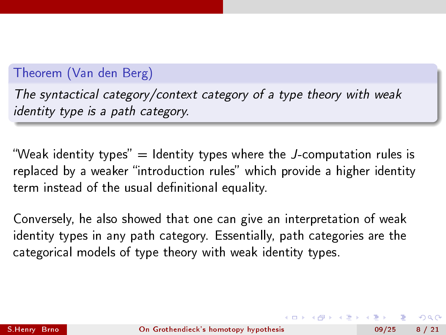#### Theorem (Van den Berg)

The syntactical category/context category of a type theory with weak identity type is a path category.

"Weak identity types" = Identity types where the J-computation rules is replaced by a weaker "introduction rules" which provide a higher identity term instead of the usual definitional equality.

Conversely, he also showed that one can give an interpretation of weak identity types in any path category. Essentially, path categories are the categorical models of type theory with weak identity types.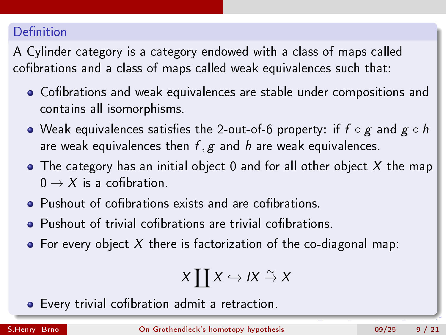#### Definition

A Cylinder category is a category endowed with a class of maps called cofibrations and a class of maps called weak equivalences such that:

- Cofibrations and weak equivalences are stable under compositions and contains all isomorphisms.
- $\bullet$  Weak equivalences satisfies the 2-out-of-6 property: if  $f \circ g$  and  $g \circ h$ are weak equivalences then  $f, g$  and h are weak equivalences.
- $\bullet$  The category has an initial object 0 and for all other object X the map  $0 \rightarrow X$  is a cofibration.
- Pushout of cofibrations exists and are cofibrations.
- Pushout of trivial cofibrations are trivial cofibrations.
- $\bullet$  For every object X there is factorization of the co-diagonal map:

$$
X \coprod X \hookrightarrow I X \stackrel{\sim}{\rightarrow} X
$$

• Every trivial cofibration admit a retraction.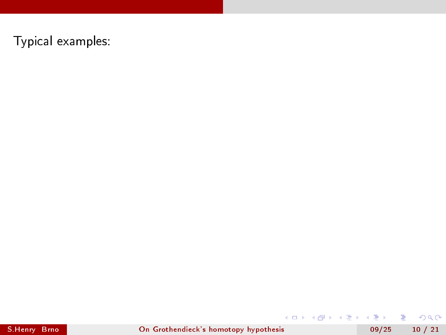$\equiv$  990

メロメ メ都 メメ きょうくぼ メー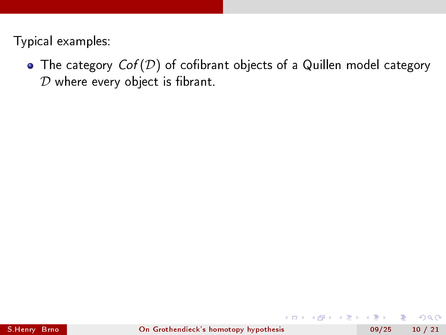• The category  $Cof(\mathcal{D})$  of cofibrant objects of a Quillen model category  $D$  where every object is fibrant.

 $-17.5$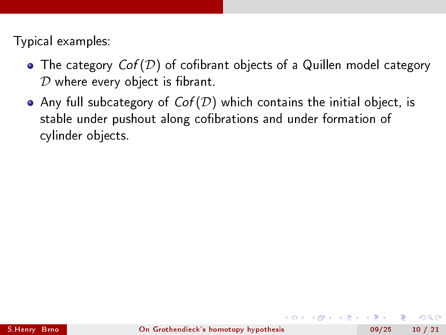- The category  $Cof(\mathcal{D})$  of cofibrant objects of a Quillen model category  $D$  where every object is fibrant.
- Any full subcategory of  $Cof(D)$  which contains the initial object, is stable under pushout along cofibrations and under formation of cylinder objects.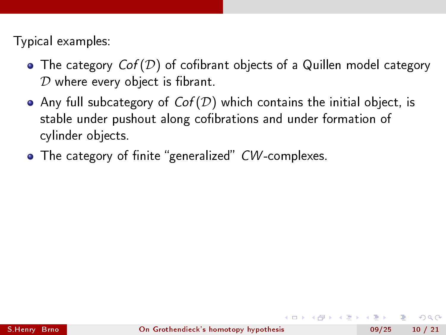- $\bullet$  The category  $Cof(\mathcal{D})$  of cofibrant objects of a Quillen model category  $D$  where every object is fibrant.
- Any full subcategory of  $Cof(\mathcal{D})$  which contains the initial object, is stable under pushout along cofibrations and under formation of cylinder objects.
- $\bullet$  The category of finite "generalized" CW-complexes.

 $200$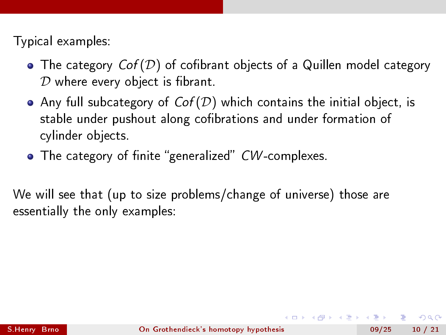- $\bullet$  The category  $Cof(\mathcal{D})$  of cofibrant objects of a Quillen model category  $D$  where every object is fibrant.
- Any full subcategory of  $Cof(\mathcal{D})$  which contains the initial object, is stable under pushout along cofibrations and under formation of cylinder objects.
- $\bullet$  The category of finite "generalized" CW-complexes.

We will see that (up to size problems/change of universe) those are essentially the only examples:

 $200$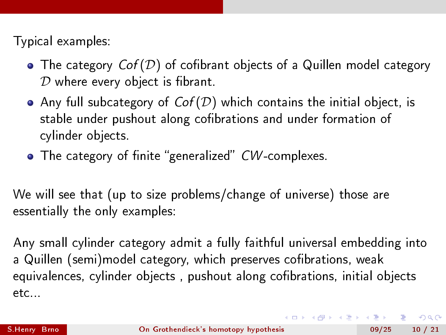Typical examples:

- The category  $Cof(D)$  of cofibrant objects of a Quillen model category  $D$  where every object is fibrant.
- Any full subcategory of  $Cof(D)$  which contains the initial object, is stable under pushout along cofibrations and under formation of cylinder objects.
- $\bullet$  The category of finite "generalized" CW-complexes.

We will see that (up to size problems/change of universe) those are essentially the only examples:

Any small cylinder category admit a fully faithful universal embedding into a Quillen (semi)model category, which preserves cofibrations, weak equivalences, cylinder objects, pushout along cofibrations, initial objects etc...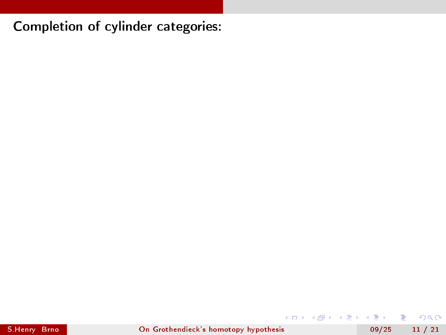**K ロ ▶ K 何 ▶** 

B.K.  $\leftarrow \equiv +$ 

 $-4$ 

 $2990$ 

重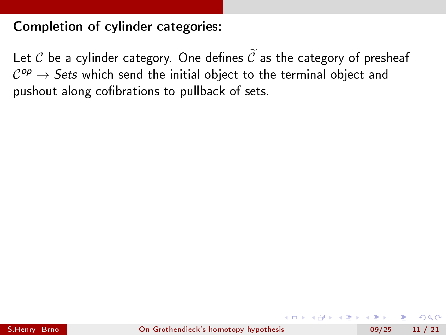Let C be a cylinder category. One defines  $\tilde{C}$  as the category of presheaf  $\mathcal{C}^{op} \to \mathcal{S}$ ets which send the initial object to the terminal object and pushout along cofibrations to pullback of sets.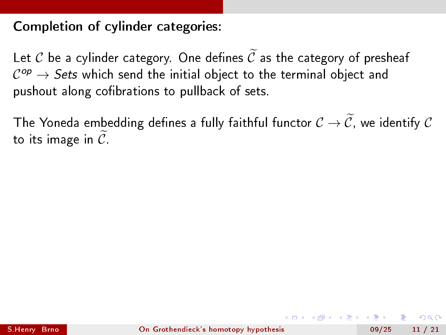Let C be a cylinder category. One defines  $\tilde{C}$  as the category of presheaf  $\mathcal{C}^{op} \to \mathcal{S}$ ets which send the initial object to the terminal object and pushout along cofibrations to pullback of sets.

The Yoneda embedding defines a fully faithful functor  $\mathcal{C} \to \widetilde{\mathcal{C}}$ , we identify  $\mathcal{C}$ to its image in  $\overline{\mathcal{C}}$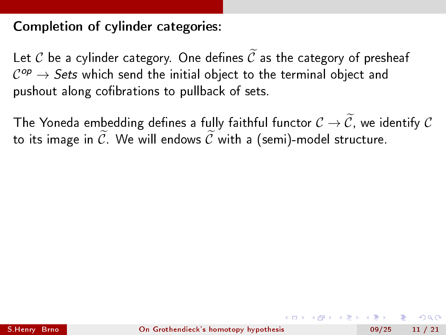Let C be a cylinder category. One defines  $\tilde{C}$  as the category of presheaf  $\mathcal{C}^{op} \to \mathcal{S}$ ets which send the initial object to the terminal object and pushout along cofibrations to pullback of sets.

The Yoneda embedding defines a fully faithful functor  $\mathcal{C} \to \widetilde{\mathcal{C}}$ , we identify  $\mathcal{C}$ to its image in  $\widetilde{\mathcal{C}}$ . We will endows  $\widetilde{\mathcal{C}}$  with a (semi)-model structure.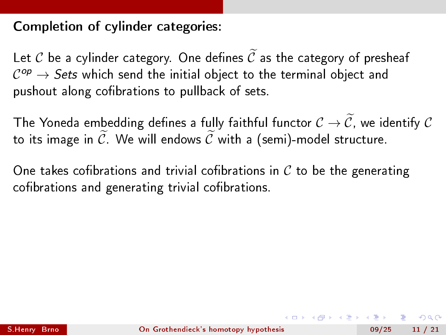Let C be a cylinder category. One defines  $\tilde{C}$  as the category of presheaf  $\mathcal{C}^{op} \to \mathcal{S}$ ets which send the initial object to the terminal object and pushout along cofibrations to pullback of sets.

The Yoneda embedding defines a fully faithful functor  $\mathcal{C} \to \widetilde{\mathcal{C}}$ , we identify  $\mathcal{C}$ to its image in  $\widetilde{\mathcal{C}}$ . We will endows  $\widetilde{\mathcal{C}}$  with a (semi)-model structure.

One takes cofibrations and trivial cofibrations in  $C$  to be the generating cofibrations and generating trivial cofibrations.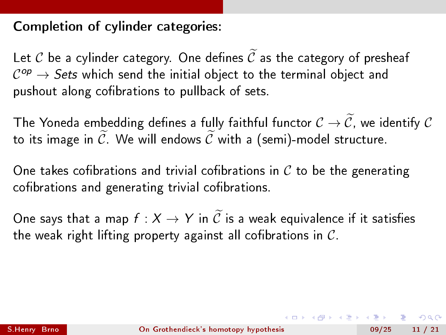Let C be a cylinder category. One defines  $\tilde{C}$  as the category of presheaf  $\mathcal{C}^{op} \to \mathcal{S}$ ets which send the initial object to the terminal object and pushout along cofibrations to pullback of sets.

The Yoneda embedding defines a fully faithful functor  $\mathcal{C} \to \widetilde{\mathcal{C}}$ , we identify  $\mathcal{C}$ to its image in  $\widetilde{C}$ . We will endows  $\widetilde{C}$  with a (semi)-model structure.

One takes cofibrations and trivial cofibrations in  $C$  to be the generating cofibrations and generating trivial cofibrations.

One says that a map  $f : X \to Y$  in  $\widetilde{C}$  is a weak equivalence if it satisfies the weak right lifting property against all cofibrations in  $C$ .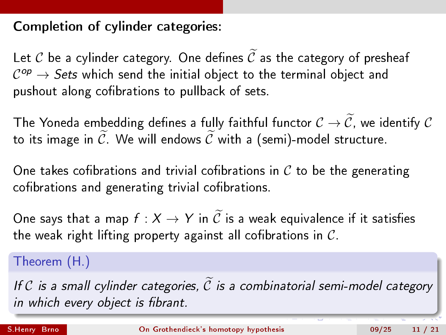Let C be a cylinder category. One defines  $\widetilde{C}$  as the category of presheaf  $\mathcal{C}^{op} \to \mathcal{S}$ ets which send the initial object to the terminal object and pushout along cofibrations to pullback of sets.

The Yoneda embedding defines a fully faithful functor  $\mathcal{C} \to \widetilde{\mathcal{C}}$ , we identify  $\mathcal{C}$ to its image in  $\widetilde{\mathcal{C}}$ . We will endows  $\widetilde{\mathcal{C}}$  with a (semi)-model structure.

One takes cofibrations and trivial cofibrations in  $C$  to be the generating cofibrations and generating trivial cofibrations.

One says that a map  $f : X \to Y$  in  $\widetilde{C}$  is a weak equivalence if it satisfies the weak right lifting property against all cofibrations in  $C$ .

Theorem (H.)

If C is a small cylinder categories,  $\widetilde{C}$  is a combinatorial semi-model category in which every object is fibrant.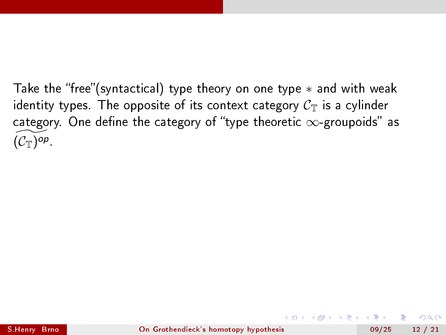Take the "free"(syntactical) type theory on one type  $*$  and with weak identity types. The opposite of its context category  $C_T$  is a cylinder category. One define the category of "type theoretic  $\infty$ -groupoids" as  $\widetilde{(\mathcal{C}_{\mathbb{T}})^{op}}$ .

(□ ) (f)

 $QQ$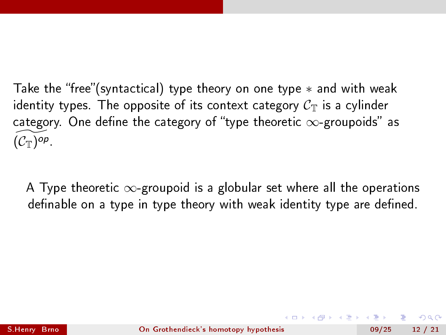Take the "free"(syntactical) type theory on one type  $*$  and with weak identity types. The opposite of its context category  $C_T$  is a cylinder category. One define the category of "type theoretic  $\infty$ -groupoids" as  $\widetilde{(\mathcal{C}_{\mathbb{T}})^{op}}$ .

A Type theoretic  $\infty$ -groupoid is a globular set where all the operations definable on a type in type theory with weak identity type are defined.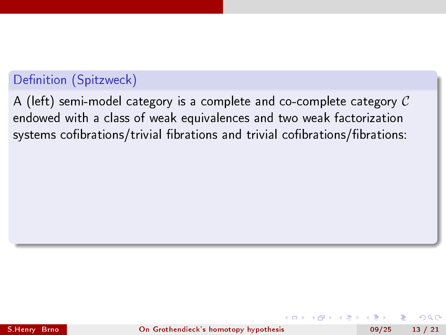A (left) semi-model category is a complete and co-complete category  $C$ endowed with a class of weak equivalences and two weak factorization systems cofibrations/trivial fibrations and trivial cofibrations/fibrations:

つへへ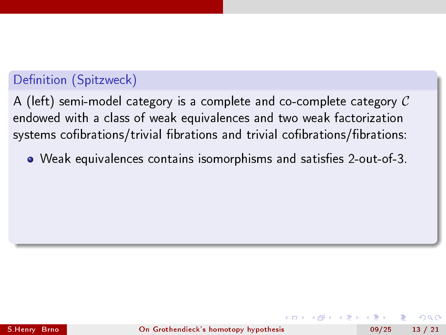A (left) semi-model category is a complete and co-complete category  $C$ endowed with a class of weak equivalences and two weak factorization systems cofibrations/trivial fibrations and trivial cofibrations/fibrations:

• Weak equivalences contains isomorphisms and satisfies 2-out-of-3.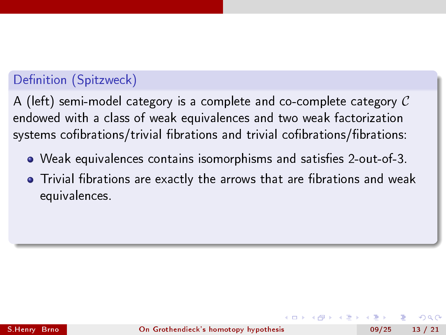A (left) semi-model category is a complete and co-complete category  $C$ endowed with a class of weak equivalences and two weak factorization systems cofibrations/trivial fibrations and trivial cofibrations/fibrations:

- Weak equivalences contains isomorphisms and satisfies 2-out-of-3.
- Trivial fibrations are exactly the arrows that are fibrations and weak equivalences.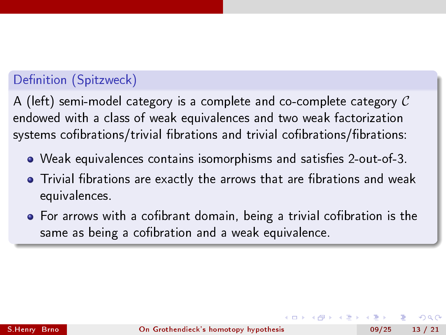A (left) semi-model category is a complete and co-complete category  $C$ endowed with a class of weak equivalences and two weak factorization systems cofibrations/trivial fibrations and trivial cofibrations/fibrations:

- $\bullet$  Weak equivalences contains isomorphisms and satisfies 2-out-of-3.
- Trivial fibrations are exactly the arrows that are fibrations and weak equivalences.
- $\bullet$  For arrows with a cofibrant domain, being a trivial cofibration is the same as being a cofibration and a weak equivalence.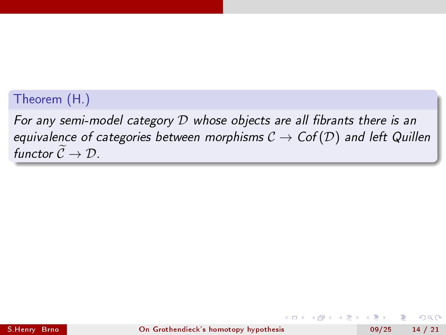# Theorem (H.)

For any semi-model category  $D$  whose objects are all fibrants there is an equivalence of categories between morphisms  $C \rightarrow Cof(\mathcal{D})$  and left Quillen functor  $\widetilde{\mathcal{C}} \to \mathcal{D}$ .

 $QQ$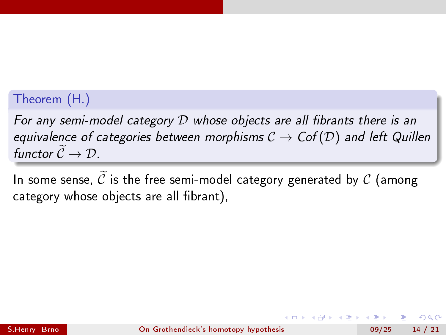# Theorem (H.)

For any semi-model category  $D$  whose objects are all fibrants there is an equivalence of categories between morphisms  $C \rightarrow Cof(\mathcal{D})$  and left Quillen functor  $\widetilde{\mathcal{C}} \to \mathcal{D}$ .

In some sense,  $\widetilde{C}$  is the free semi-model category generated by  $C$  (among category whose objects are all fibrant).

つへへ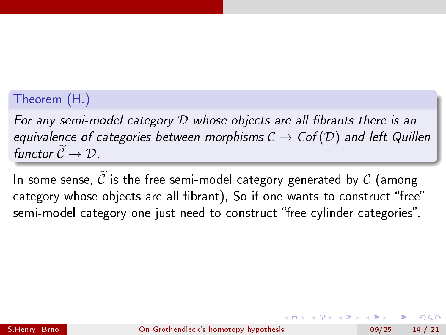# Theorem (H.)

For any semi-model category  $D$  whose objects are all fibrants there is an equivalence of categories between morphisms  $C \rightarrow Cof(\mathcal{D})$  and left Quillen functor  $\widetilde{\mathcal{C}} \to \mathcal{D}$ .

In some sense,  $\widetilde{C}$  is the free semi-model category generated by  $C$  (among category whose objects are all fibrant), So if one wants to construct "free" semi-model category one just need to construct "free cylinder categories".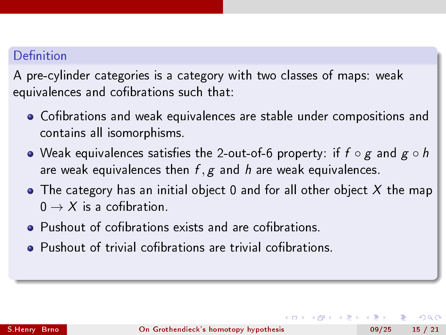#### Definition

A pre-cylinder categories is a category with two classes of maps: weak equivalences and cofibrations such that:

- Cofibrations and weak equivalences are stable under compositions and contains all isomorphisms.
- $\bullet$  Weak equivalences satisfies the 2-out-of-6 property: if  $f \circ g$  and  $g \circ h$ are weak equivalences then  $f, g$  and h are weak equivalences.
- $\bullet$  The category has an initial object 0 and for all other object X the map  $0 \rightarrow X$  is a cofibration.
- **•** Pushout of cofibrations exists and are cofibrations.
- Pushout of trivial cofibrations are trivial cofibrations.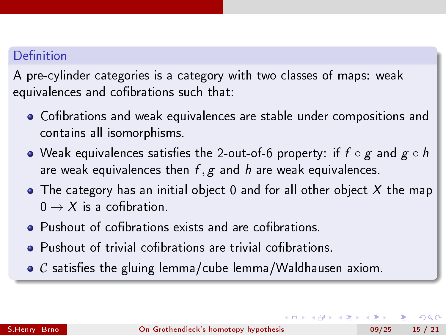#### Definition

A pre-cylinder categories is a category with two classes of maps: weak equivalences and cofibrations such that:

- Cofibrations and weak equivalences are stable under compositions and contains all isomorphisms.
- $\bullet$  Weak equivalences satisfies the 2-out-of-6 property: if  $f \circ g$  and  $g \circ h$ are weak equivalences then  $f, g$  and h are weak equivalences.
- $\bullet$  The category has an initial object 0 and for all other object X the map  $0 \rightarrow X$  is a cofibration.
- **•** Pushout of cofibrations exists and are cofibrations.
- Pushout of trivial cofibrations are trivial cofibrations.
- $\bullet$  C satisfies the gluing lemma/cube lemma/Waldhausen axiom.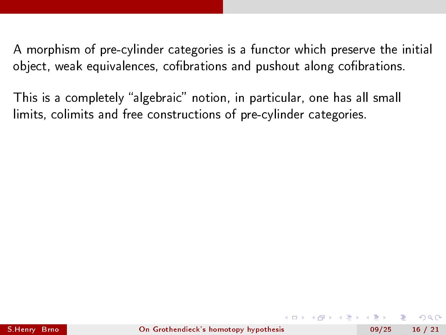This is a completely "algebraic" notion, in particular, one has all small limits, colimits and free constructions of pre-cylinder categories.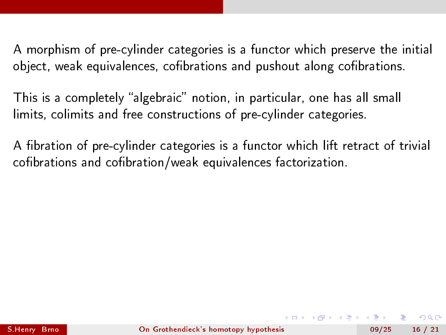This is a completely "algebraic" notion, in particular, one has all small limits, colimits and free constructions of pre-cylinder categories.

A fibration of pre-cylinder categories is a functor which lift retract of trivial cofibrations and cofibration/weak equivalences factorization.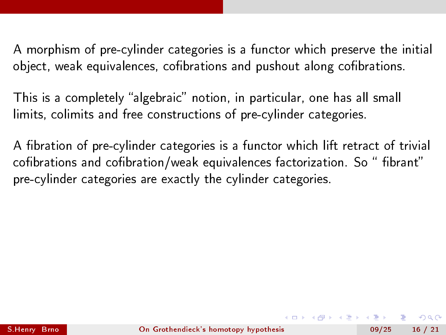This is a completely "algebraic" notion, in particular, one has all small limits, colimits and free constructions of pre-cylinder categories.

A fibration of pre-cylinder categories is a functor which lift retract of trivial cofibrations and cofibration/weak equivalences factorization. So "fibrant" pre-cylinder categories are exactly the cylinder categories.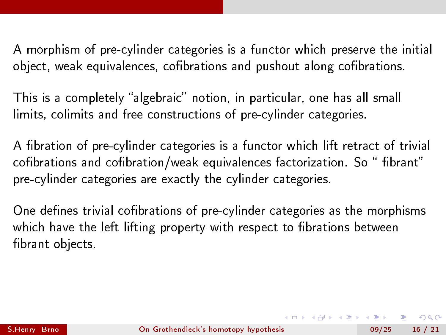This is a completely "algebraic" notion, in particular, one has all small limits, colimits and free constructions of pre-cylinder categories.

A fibration of pre-cylinder categories is a functor which lift retract of trivial cofibrations and cofibration/weak equivalences factorization. So "fibrant" pre-cylinder categories are exactly the cylinder categories.

One defines trivial cofibrations of pre-cylinder categories as the morphisms which have the left lifting property with respect to fibrations between fibrant objects.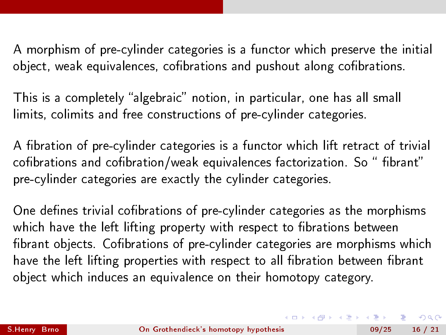This is a completely "algebraic" notion, in particular, one has all small limits, colimits and free constructions of pre-cylinder categories.

A fibration of pre-cylinder categories is a functor which lift retract of trivial cofibrations and cofibration/weak equivalences factorization. So "fibrant" pre-cylinder categories are exactly the cylinder categories.

One defines trivial cofibrations of pre-cylinder categories as the morphisms which have the left lifting property with respect to fibrations between fibrant objects. Cofibrations of pre-cylinder categories are morphisms which have the left lifting properties with respect to all fibration between fibrant object which induces an equivalence on their homotopy category.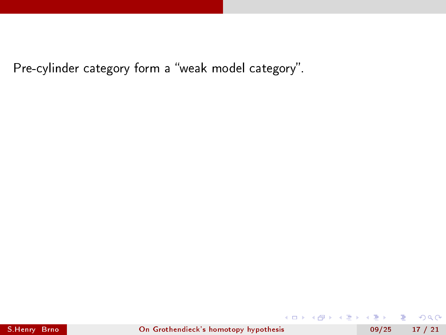Pre-cylinder category form a "weak model category".

4 ロ ▶ (母

∋ »  $\leftarrow \equiv$  $\mathbf{p}$ 

14.1

■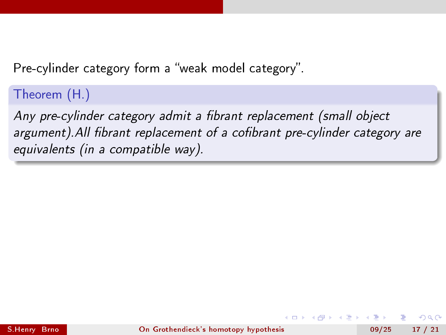Pre-cylinder category form a "weak model category".

Theorem (H.)

Any pre-cylinder category admit a fibrant replacement (small object argument). All fibrant replacement of a cofibrant pre-cylinder category are equivalents (in a compatible way).

 $QQ$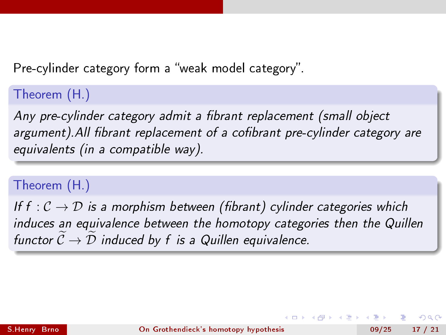Pre-cylinder category form a "weak model category".

Theorem (H.)

Any pre-cylinder category admit a fibrant replacement (small object argument). All fibrant replacement of a cofibrant pre-cylinder category are equivalents (in a compatible way).

#### Theorem (H.)

If f :  $C \rightarrow D$  is a morphism between (fibrant) cylinder categories which induces an equivalence between the homotopy categories then the Quillen functor  $C \to D$  induced by f is a Quillen equivalence.

∢ □ ▶ .⊀ 何 ▶ .∢ ∃ ▶ .

 $QQ$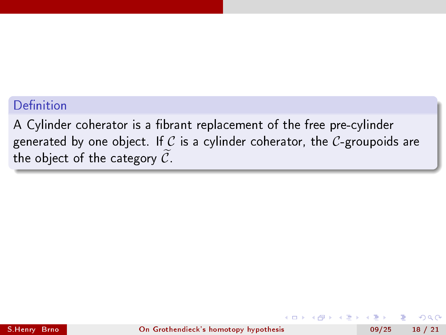#### Definition

A Cylinder coherator is a fibrant replacement of the free pre-cylinder generated by one object. If C is a cylinder coherator, the C-groupoids are the object of the category  $\widetilde{C}$ .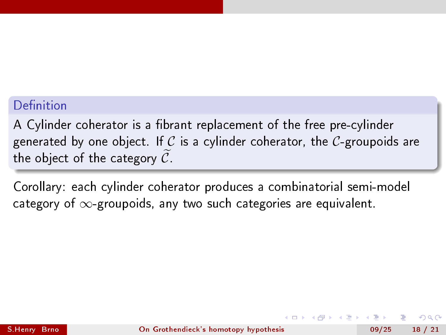#### Definition

A Cylinder coherator is a fibrant replacement of the free pre-cylinder generated by one object. If C is a cylinder coherator, the C-groupoids are the object of the category  $\widetilde{\mathcal{C}}$ .

Corollary: each cylinder coherator produces a combinatorial semi-model category of  $\infty$ -groupoids, any two such categories are equivalent.

つへへ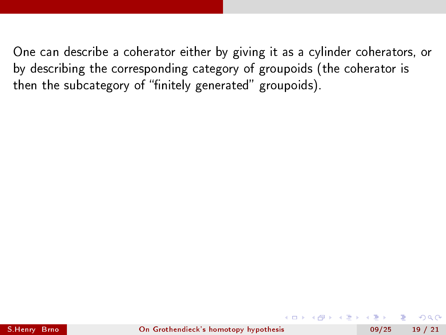$QQ$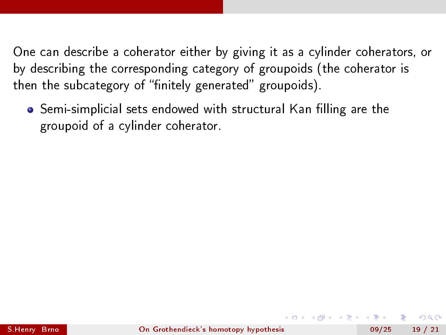• Semi-simplicial sets endowed with structural Kan filling are the groupoid of a cylinder coherator.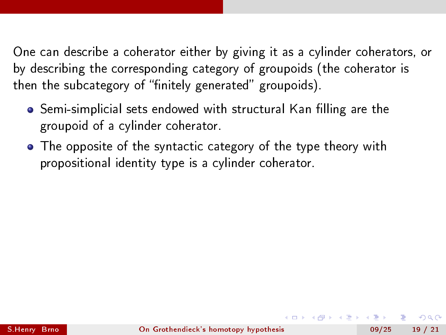- Semi-simplicial sets endowed with structural Kan filling are the groupoid of a cylinder coherator.
- The opposite of the syntactic category of the type theory with propositional identity type is a cylinder coherator.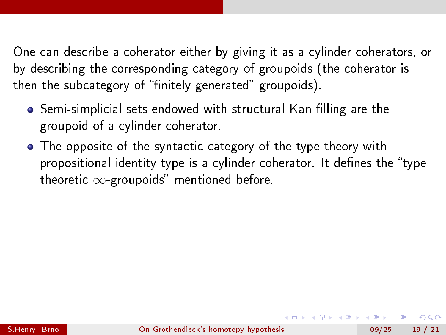- Semi-simplicial sets endowed with structural Kan filling are the groupoid of a cylinder coherator.
- The opposite of the syntactic category of the type theory with propositional identity type is a cylinder coherator. It defines the "type theoretic  $\infty$ -groupoids" mentioned before.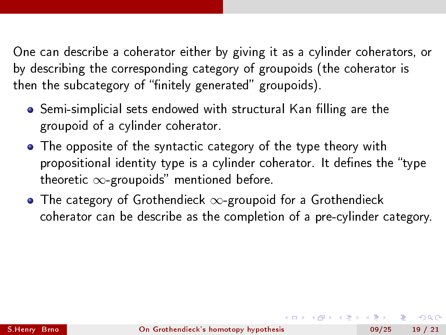- Semi-simplicial sets endowed with structural Kan filling are the groupoid of a cylinder coherator.
- The opposite of the syntactic category of the type theory with propositional identity type is a cylinder coherator. It defines the "type theoretic  $\infty$ -groupoids" mentioned before.
- The category of Grothendieck  $\infty$ -groupoid for a Grothendieck coherator can be describe as the completion of a pre-cylinder category.

つへへ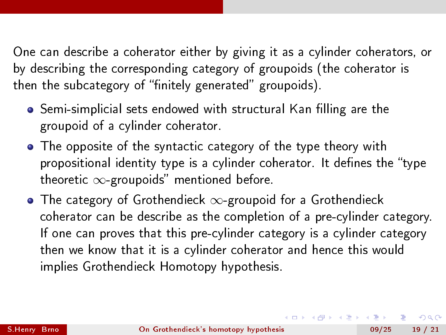- Semi-simplicial sets endowed with structural Kan filling are the groupoid of a cylinder coherator.
- The opposite of the syntactic category of the type theory with propositional identity type is a cylinder coherator. It defines the "type theoretic  $\infty$ -groupoids" mentioned before.
- The category of Grothendieck  $\infty$ -groupoid for a Grothendieck coherator can be describe as the completion of a pre-cylinder category. If one can proves that this pre-cylinder category is a cylinder category then we know that it is a cylinder coherator and hence this would implies Grothendieck Homotopy hypothesis.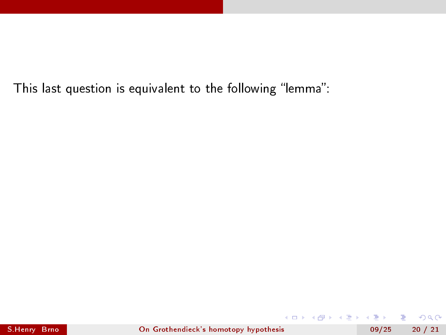重

**4 ロ ト イ何 ト** 

Þ  $\sim$ 4.重 ×  $299$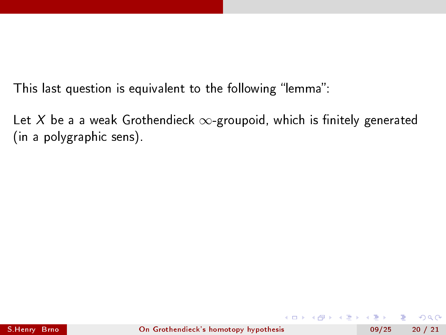Let X be a a weak Grothendieck  $\infty$ -groupoid, which is finitely generated (in a polygraphic sens).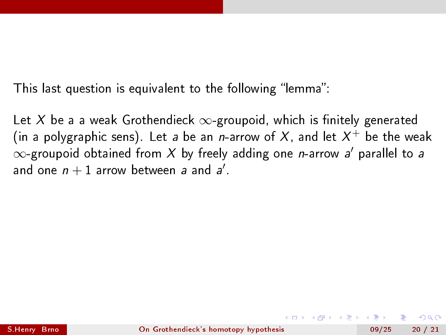Let X be a a weak Grothendieck  $\infty$ -groupoid, which is finitely generated (in a polygraphic sens). Let *a* be an *n*-arrow of  $X$ , and let  $X^+$  be the weak  $\infty$ -groupoid obtained from  $X$  by freely adding one  $\emph{n}$ -arrow  $\emph{a}'$  parallel to  $\emph{a}$ and one  $n + 1$  arrow between a and a'.

つへへ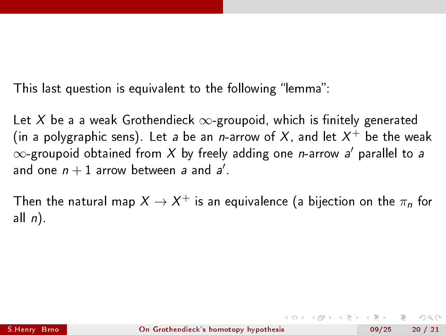Let X be a a weak Grothendieck  $\infty$ -groupoid, which is finitely generated (in a polygraphic sens). Let *a* be an *n*-arrow of  $X$ , and let  $X^+$  be the weak  $\infty$ -groupoid obtained from  $X$  by freely adding one  $\emph{n}$ -arrow  $\emph{a}'$  parallel to  $\emph{a}$ and one  $n + 1$  arrow between a and a'.

Then the natural map  $X \rightarrow X^+$  is an equivalence (a bijection on the  $\pi_n$  for all  $n$ ).

つへへ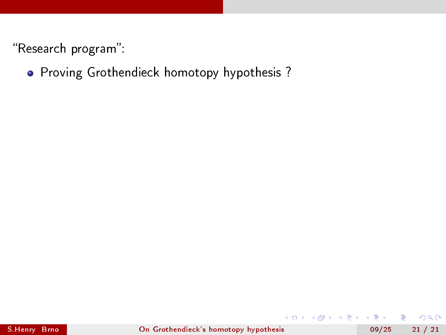## **•** Proving Grothendieck homotopy hypothesis ?

4 0 8

÷.

 $QQ$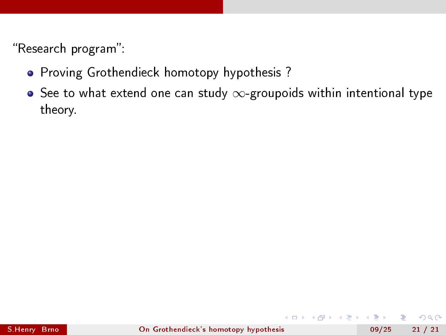- **•** Proving Grothendieck homotopy hypothesis ?
- $\bullet$  See to what extend one can study  $\infty$ -groupoids within intentional type theory.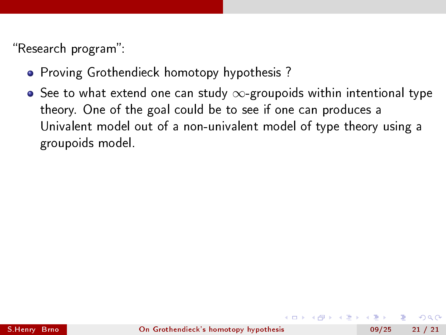- **•** Proving Grothendieck homotopy hypothesis?
- $\bullet$  See to what extend one can study  $\infty$ -groupoids within intentional type theory. One of the goal could be to see if one can produces a Univalent model out of a non-univalent model of type theory using a groupoids model.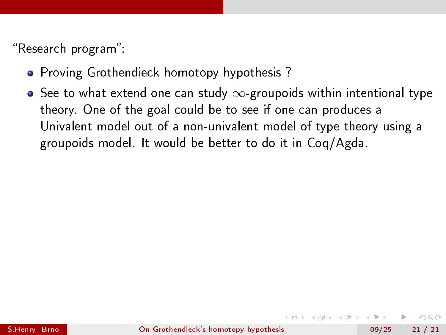- **•** Proving Grothendieck homotopy hypothesis?
- $\bullet$  See to what extend one can study  $\infty$ -groupoids within intentional type theory. One of the goal could be to see if one can produces a Univalent model out of a non-univalent model of type theory using a groupoids model. It would be better to do it in Coq/Agda.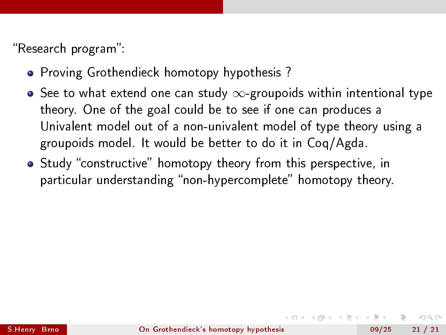- **•** Proving Grothendieck homotopy hypothesis?
- $\bullet$  See to what extend one can study  $\infty$ -groupoids within intentional type theory. One of the goal could be to see if one can produces a Univalent model out of a non-univalent model of type theory using a groupoids model. It would be better to do it in Coq/Agda.
- Study "constructive" homotopy theory from this perspective, in particular understanding "non-hypercomplete" homotopy theory.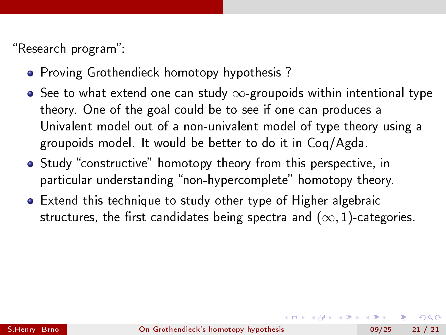- **•** Proving Grothendieck homotopy hypothesis?
- $\bullet$  See to what extend one can study  $\infty$ -groupoids within intentional type theory. One of the goal could be to see if one can produces a Univalent model out of a non-univalent model of type theory using a groupoids model. It would be better to do it in Coq/Agda.
- Study "constructive" homotopy theory from this perspective, in particular understanding "non-hypercomplete" homotopy theory.
- Extend this technique to study other type of Higher algebraic structures, the first candidates being spectra and  $(\infty, 1)$ -categories.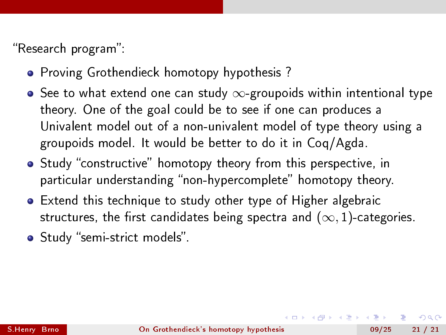- **•** Proving Grothendieck homotopy hypothesis?
- $\bullet$  See to what extend one can study  $\infty$ -groupoids within intentional type theory. One of the goal could be to see if one can produces a Univalent model out of a non-univalent model of type theory using a groupoids model. It would be better to do it in Coq/Agda.
- Study "constructive" homotopy theory from this perspective, in particular understanding "non-hypercomplete" homotopy theory.
- Extend this technique to study other type of Higher algebraic structures, the first candidates being spectra and  $(\infty, 1)$ -categories.
- Study "semi-strict models".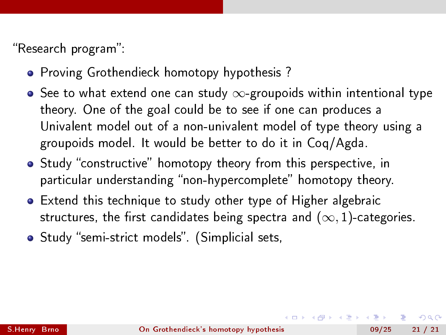- **•** Proving Grothendieck homotopy hypothesis?
- $\bullet$  See to what extend one can study  $\infty$ -groupoids within intentional type theory. One of the goal could be to see if one can produces a Univalent model out of a non-univalent model of type theory using a groupoids model. It would be better to do it in Coq/Agda.
- Study "constructive" homotopy theory from this perspective, in particular understanding "non-hypercomplete" homotopy theory.
- Extend this technique to study other type of Higher algebraic structures, the first candidates being spectra and  $(\infty, 1)$ -categories.
- Study "semi-strict models". (Simplicial sets,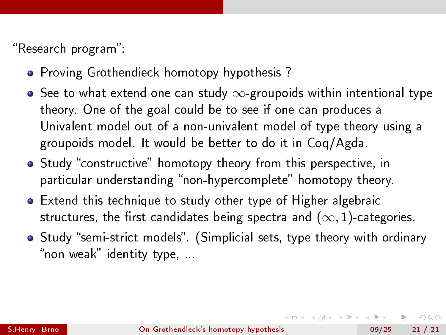- **•** Proving Grothendieck homotopy hypothesis?
- $\bullet$  See to what extend one can study  $\infty$ -groupoids within intentional type theory. One of the goal could be to see if one can produces a Univalent model out of a non-univalent model of type theory using a groupoids model. It would be better to do it in Coq/Agda.
- Study "constructive" homotopy theory from this perspective, in particular understanding "non-hypercomplete" homotopy theory.
- Extend this technique to study other type of Higher algebraic structures, the first candidates being spectra and  $(\infty, 1)$ -categories.
- Study "semi-strict models". (Simplicial sets, type theory with ordinary "non weak" identity type, ...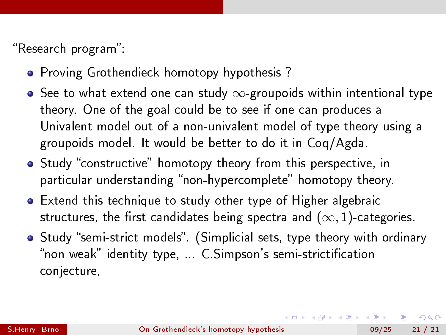- **•** Proving Grothendieck homotopy hypothesis?
- $\bullet$  See to what extend one can study  $\infty$ -groupoids within intentional type theory. One of the goal could be to see if one can produces a Univalent model out of a non-univalent model of type theory using a groupoids model. It would be better to do it in Coq/Agda.
- Study "constructive" homotopy theory from this perspective, in particular understanding "non-hypercomplete" homotopy theory.
- Extend this technique to study other type of Higher algebraic structures, the first candidates being spectra and  $(\infty, 1)$ -categories.
- Study "semi-strict models". (Simplicial sets, type theory with ordinary "non weak" identity type, ... C.Simpson's semi-strictification conjecture,

つへへ